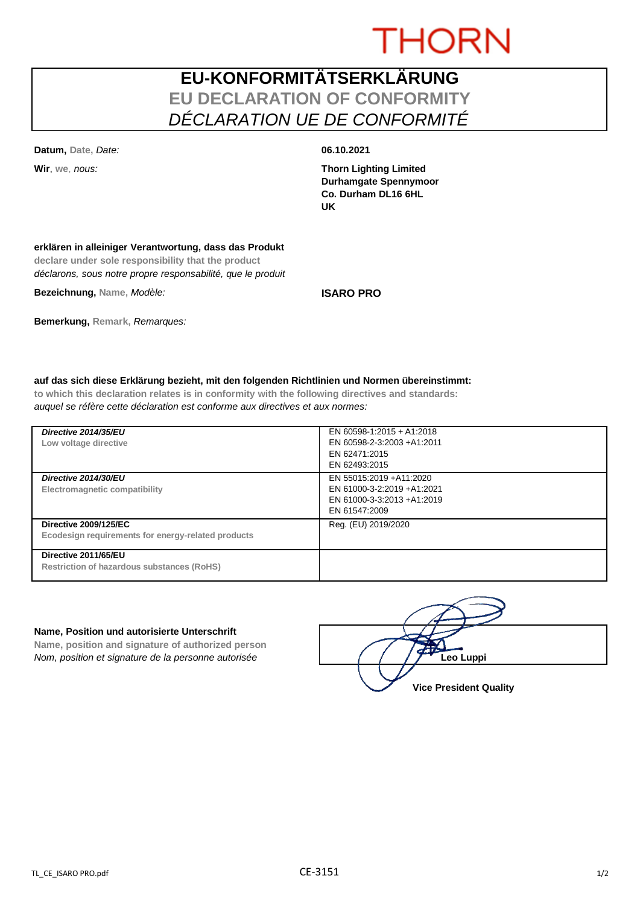# **THORN**

## **EU-KONFORMITÄTSERKLÄRUNG EU DECLARATION OF CONFORMITY** *DÉCLARATION UE DE CONFORMITÉ*

**Datum, Date,** *Date:* **06.10.2021**

**Wir**, **we**, *nous:* **Thorn Lighting Limited Durhamgate Spennymoor Co. Durham DL16 6HL UK**

### **erklären in alleiniger Verantwortung, dass das Produkt**

**declare under sole responsibility that the product** *déclarons, sous notre propre responsabilité, que le produit*

**Bezeichnung, Name,** *Modèle:* **ISARO PRO**

**Bemerkung, Remark,** *Remarques:*

**auf das sich diese Erklärung bezieht, mit den folgenden Richtlinien und Normen übereinstimmt: to which this declaration relates is in conformity with the following directives and standards:** *auquel se réfère cette déclaration est conforme aux directives et aux normes:*

| Directive 2014/35/EU<br>Low voltage directive                                      | EN 60598-1:2015 + A1:2018<br>EN 60598-2-3:2003 +A1:2011<br>EN 62471:2015<br>EN 62493:2015            |
|------------------------------------------------------------------------------------|------------------------------------------------------------------------------------------------------|
| Directive 2014/30/EU<br>Electromagnetic compatibility                              | EN 55015:2019 +A11:2020<br>EN 61000-3-2:2019 +A1:2021<br>EN 61000-3-3:2013 +A1:2019<br>EN 61547:2009 |
| <b>Directive 2009/125/EC</b><br>Ecodesign requirements for energy-related products | Reg. (EU) 2019/2020                                                                                  |
| Directive 2011/65/EU<br><b>Restriction of hazardous substances (RoHS)</b>          |                                                                                                      |

### **Name, Position und autorisierte Unterschrift**

**Name, position and signature of authorized person** *Nom, position et signature de la personne autorisée*  $\left( \begin{array}{cc} \end{array} \right)$   $\left( \begin{array}{cc} \end{array} \right)$ **Leo Luppi** 

**Vice President Quality**